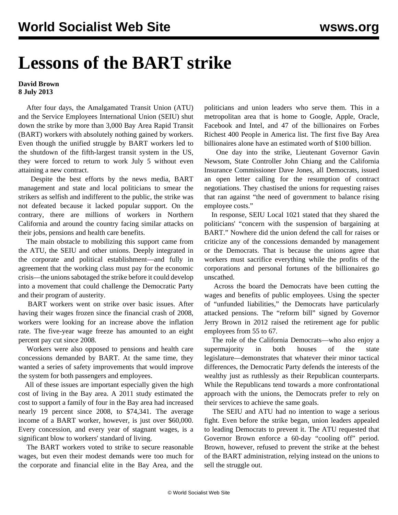## **Lessons of the BART strike**

## **David Brown 8 July 2013**

 After four days, the Amalgamated Transit Union (ATU) and the Service Employees International Union (SEIU) shut down the strike by more than 3,000 Bay Area Rapid Transit (BART) workers with absolutely nothing gained by workers. Even though the unified struggle by BART workers led to the shutdown of the fifth-largest transit system in the US, they were forced to return to work July 5 without even attaining a new contract.

 Despite the best efforts by the news media, BART management and state and local politicians to smear the strikers as selfish and indifferent to the public, the strike was not defeated because it lacked popular support. On the contrary, there are millions of workers in Northern California and around the country facing similar attacks on their jobs, pensions and health care benefits.

 The main obstacle to mobilizing this support came from the ATU, the SEIU and other unions. Deeply integrated in the corporate and political establishment—and fully in agreement that the working class must pay for the economic crisis—the unions sabotaged the strike before it could develop into a movement that could challenge the Democratic Party and their program of austerity.

 BART workers went on strike over basic issues. After having their wages frozen since the financial crash of 2008, workers were looking for an increase above the inflation rate. The five-year wage freeze has amounted to an eight percent pay cut since 2008.

 Workers were also opposed to pensions and health care concessions demanded by BART. At the same time, they wanted a series of safety improvements that would improve the system for both passengers and employees.

 All of these issues are important especially given the high cost of living in the Bay area. A 2011 study estimated the cost to support a family of four in the Bay area had increased nearly 19 percent since 2008, to \$74,341. The average income of a BART worker, however, is just over \$60,000. Every concession, and every year of stagnant wages, is a significant blow to workers' standard of living.

 The BART workers voted to strike to secure reasonable wages, but even their modest demands were too much for the corporate and financial elite in the Bay Area, and the politicians and union leaders who serve them. This in a metropolitan area that is home to Google, Apple, Oracle, Facebook and Intel, and 47 of the billionaires on Forbes Richest 400 People in America list. The first five Bay Area billionaires alone have an estimated worth of \$100 billion.

 One day into the strike, Lieutenant Governor Gavin Newsom, State Controller John Chiang and the California Insurance Commissioner Dave Jones, all Democrats, issued an open letter calling for the resumption of contract negotiations. They chastised the unions for requesting raises that ran against "the need of government to balance rising employee costs."

 In response, SEIU Local 1021 stated that they shared the politicians' "concern with the suspension of bargaining at BART." Nowhere did the union defend the call for raises or criticize any of the concessions demanded by management or the Democrats. That is because the unions agree that workers must sacrifice everything while the profits of the corporations and personal fortunes of the billionaires go unscathed.

 Across the board the Democrats have been cutting the wages and benefits of public employees. Using the specter of "unfunded liabilities," the Democrats have particularly attacked pensions. The "reform bill" signed by Governor Jerry Brown in 2012 raised the retirement age for public employees from 55 to 67.

 The role of the California Democrats—who also enjoy a supermajority in both houses of the state legislature—demonstrates that whatever their minor tactical differences, the Democratic Party defends the interests of the wealthy just as ruthlessly as their Republican counterparts. While the Republicans tend towards a more confrontational approach with the unions, the Democrats prefer to rely on their services to achieve the same goals.

 The SEIU and ATU had no intention to wage a serious fight. Even before the strike began, union leaders appealed to leading Democrats to prevent it. The ATU requested that Governor Brown enforce a 60-day "cooling off" period. Brown, however, refused to prevent the strike at the behest of the BART administration, relying instead on the unions to sell the struggle out.